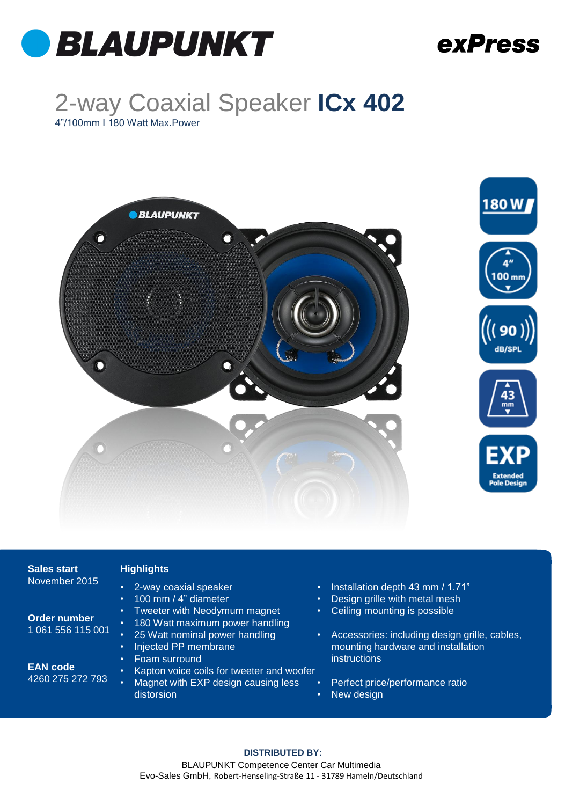

### exPress

design grille, cables,

## 2-way Coaxial Speaker **ICx 402**

4"/100mm I 180 Watt Max.Power



| <b>Sales start</b>                  | <b>Highlights</b>                                                                                                    |                     |                                                                                                   |
|-------------------------------------|----------------------------------------------------------------------------------------------------------------------|---------------------|---------------------------------------------------------------------------------------------------|
| November 2015                       | 2-way coaxial speaker<br>$\bullet$<br>100 mm / 4" diameter<br>$\bullet$<br>Tweeter with Neodymum magnet<br>$\bullet$ | $\bullet$<br>٠<br>٠ | Installation depth 43 mm / 1.71"<br>Design grille with metal mesh<br>Ceiling mounting is possible |
| Order number<br>1 061 556 115 001   | 180 Watt maximum power handling<br>$\bullet$<br>25 Watt nominal power handling                                       | $\bullet$           | Accessories: including design grille                                                              |
|                                     | Injected PP membrane<br>$\bullet$<br>Foam surround<br>$\bullet$                                                      |                     | mounting hardware and installation<br><i>instructions</i>                                         |
| <b>EAN code</b><br>4260 275 272 793 | Kapton voice coils for tweeter and woofer<br>٠<br>Magnet with EXP design causing less                                |                     | Perfect price/performance ratio                                                                   |
|                                     | distorsion                                                                                                           | $\bullet$           | New design                                                                                        |
|                                     |                                                                                                                      |                     |                                                                                                   |

#### **DISTRIBUTED BY:**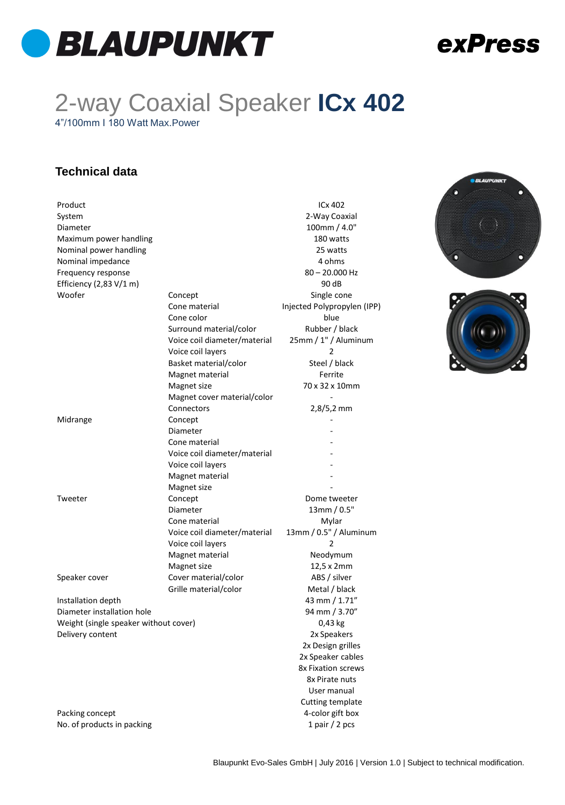

### exPress

## 2-way Coaxial Speaker **ICx 402**

4"/100mm I 180 Watt Max.Power

#### **Technical data**

| Product                               |                              | ICx 402                     |
|---------------------------------------|------------------------------|-----------------------------|
| System                                |                              | 2-Way Coaxial               |
| Diameter                              |                              | 100mm / 4.0"                |
| Maximum power handling                |                              | 180 watts                   |
| Nominal power handling                |                              | 25 watts                    |
| Nominal impedance                     |                              | 4 ohms                      |
| Frequency response                    |                              | $80 - 20.000$ Hz            |
| Efficiency $(2,83 V/1 m)$             |                              | 90 dB                       |
| Woofer                                | Concept                      | Single cone                 |
|                                       | Cone material                | Injected Polypropylen (IPP) |
|                                       | Cone color                   | blue                        |
|                                       | Surround material/color      | Rubber / black              |
|                                       | Voice coil diameter/material | 25mm / 1" / Aluminum        |
|                                       | Voice coil layers            | 2                           |
|                                       | Basket material/color        | Steel / black               |
|                                       | Magnet material              | Ferrite                     |
|                                       | Magnet size                  | 70 x 32 x 10mm              |
|                                       | Magnet cover material/color  |                             |
|                                       | Connectors                   | $2,8/5,2$ mm                |
| Midrange                              | Concept                      |                             |
|                                       | Diameter                     |                             |
|                                       | Cone material                |                             |
|                                       | Voice coil diameter/material |                             |
|                                       | Voice coil layers            |                             |
|                                       | Magnet material              |                             |
|                                       | Magnet size                  |                             |
| Tweeter                               | Concept                      | Dome tweeter                |
|                                       | Diameter                     | 13mm/0.5"                   |
|                                       |                              |                             |
|                                       | Cone material                | Mylar                       |
|                                       | Voice coil diameter/material | 13mm / 0.5" / Aluminum      |
|                                       | Voice coil layers            | 2                           |
|                                       | Magnet material              | Neodymum                    |
|                                       | Magnet size                  | 12,5 x 2mm                  |
| Speaker cover                         | Cover material/color         | ABS / silver                |
|                                       | Grille material/color        | Metal / black               |
| Installation depth                    |                              | 43 mm / 1.71"               |
| Diameter installation hole            |                              | 94 mm / 3.70"               |
| Weight (single speaker without cover) | 0,43 kg                      |                             |
| Delivery content                      |                              | 2x Speakers                 |
|                                       |                              | 2x Design grilles           |
|                                       |                              | 2x Speaker cables           |
|                                       |                              | <b>8x Fixation screws</b>   |
|                                       |                              | 8x Pirate nuts              |
|                                       |                              | User manual                 |
|                                       |                              | Cutting template            |
| Packing concept                       |                              | 4-color gift box            |
| No. of products in packing            | 1 pair / 2 pcs               |                             |